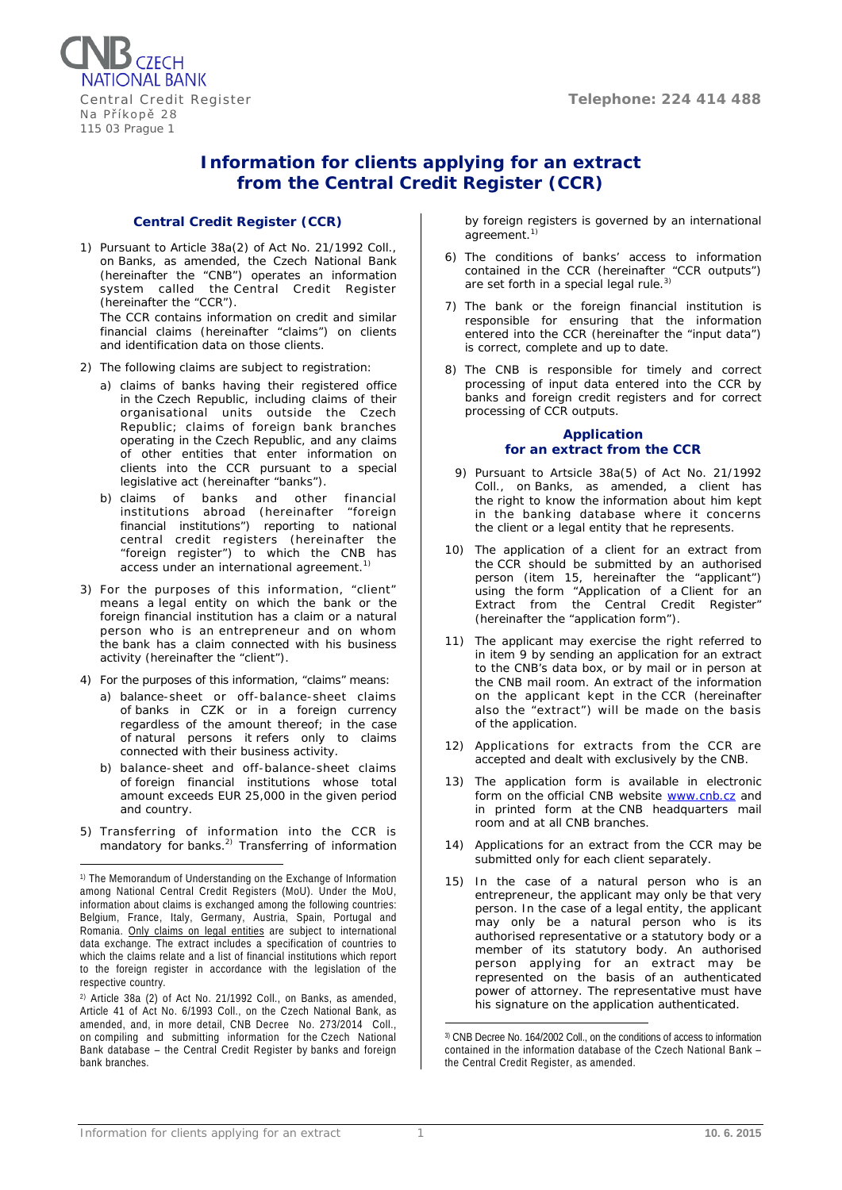Central Credit Register **Telephone: 224 414 488** 



# **Information for clients applying for an extract from the Central Credit Register (CCR)**

# **Central Credit Register (CCR)**

- 1) Pursuant to Article 38a(2) of Act No. 21/1992 Coll., on Banks, as amended, the Czech National Bank (hereinafter the "CNB") operates an information system called the Central Credit Register (hereinafter the "CCR"). The CCR contains information on credit and similar financial claims (hereinafter "claims") on clients and identification data on those clients.
- 2) The following claims are subject to registration:
	- a) claims of banks having their registered office in the Czech Republic, including claims of their organisational units outside the Czech Republic; claims of foreign bank branches operating in the Czech Republic, and any claims of other entities that enter information on clients into the CCR pursuant to a special legislative act (hereinafter "banks").
	- b) claims of banks and other financial institutions abroad (hereinafter "foreign financial institutions") reporting to national central credit registers (hereinafter the "foreign register") to which the CNB has access under an international agreement.<sup>1)</sup>
- 3) For the purposes of this information, "client" means a legal entity on which the bank or the foreign financial institution has a claim or a natural person who is an entrepreneur and on whom the bank has a claim connected with his business activity (hereinafter the "client").
- 4) For the purposes of this information, "claims" means:
	- a) balance-sheet or off-balance-sheet claims of banks in CZK or in a foreign currency regardless of the amount thereof; in the case of natural persons it refers only to claims connected with their business activity.
	- b) balance-sheet and off-balance-sheet claims of foreign financial institutions whose total amount exceeds EUR 25,000 in the given period and country.
- 5) Transferring of information into the CCR is mandatory for banks.<sup>2)</sup> Transferring of information

by foreign registers is governed by an international agreement.<sup>1)</sup>

- 6) The conditions of banks' access to information contained in the CCR (hereinafter "CCR outputs") are set forth in a special legal rule.<sup>3)</sup>
- 7) The bank or the foreign financial institution is responsible for ensuring that the information entered into the CCR (hereinafter the "input data") is correct, complete and up to date.
- 8) The CNB is responsible for timely and correct processing of input data entered into the CCR by banks and foreign credit registers and for correct processing of CCR outputs.

# **Application for an extract from the CCR**

- 9) Pursuant to Artsicle 38a(5) of Act No. 21/1992 Coll., on Banks, as amended, a client has the right to know the information about him kept in the banking database where it concerns the client or a legal entity that he represents.
- 10) The application of a client for an extract from the CCR should be submitted by an authorised person (item 15, hereinafter the "applicant") using the form "Application of a Client for an Extract from the Central Credit Register" (hereinafter the "application form").
- 11) The applicant may exercise the right referred to in item 9 by sending an application for an extract to the CNB's data box, or by mail or in person at the CNB mail room. An extract of the information on the applicant kept in the CCR (hereinafter also the "extract") will be made on the basis of the application.
- 12) Applications for extracts from the CCR are accepted and dealt with exclusively by the CNB.
- 13) The application form is available in electronic form on the official CNB website [www.cnb.cz](http://www.cnb.cz/en/supervision_financial_market/central_credit_register/cru_vypis.html) and in printed form at the CNB headquarters mail room and at all CNB branches.
- 14) Applications for an extract from the CCR may be submitted only for each client separately.
- 15) In the case of a natural person who is an entrepreneur, the applicant may only be that very person. In the case of a legal entity, the applicant may only be a natural person who is its authorised representative or a statutory body or a member of its statutory body. An authorised person applying for an extract may be represented on the basis of an authenticated power of attorney. The representative must have his signature on the application authenticated.

<sup>1)</sup> The Memorandum of Understanding on the Exchange of Information among National Central Credit Registers (MoU). Under the MoU, information about claims is exchanged among the following countries: Belgium, France, Italy, Germany, Austria, Spain, Portugal and Romania. Only claims on legal entities are subject to international data exchange. The extract includes a specification of countries to which the claims relate and a list of financial institutions which report to the foreign register in accordance with the legislation of the respective country. <u>.</u>

<sup>2)</sup> Article 38a (2) of Act No. 21/1992 Coll., on Banks, as amended, Article 41 of Act No. 6/1993 Coll., on the Czech National Bank, as amended, and, in more detail, CNB Decree No. 273/2014 Coll., on compiling and submitting information for the Czech National Bank database – the Central Credit Register by banks and foreign bank branches.

<sup>3)</sup> CNB Decree No. 164/2002 Coll., on the conditions of access to information contained in the information database of the Czech National Bank – the Central Credit Register, as amended. <u>.</u>